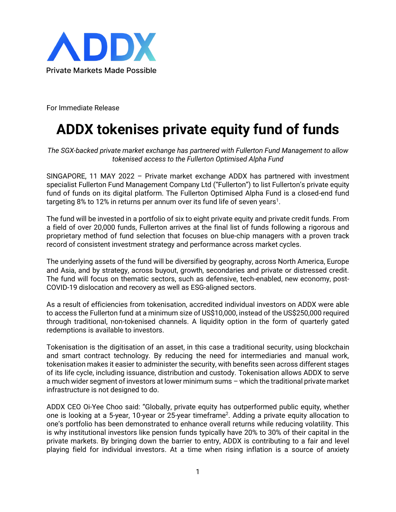

For Immediate Release

## **ADDX tokenises private equity fund of funds**

*The SGX-backed private market exchange has partnered with Fullerton Fund Management to allow tokenised access to the Fullerton Optimised Alpha Fund*

SINGAPORE, 11 MAY 2022 – Private market exchange ADDX has partnered with investment specialist Fullerton Fund Management Company Ltd ("Fullerton") to list Fullerton's private equity fund of funds on its digital platform. The Fullerton Optimised Alpha Fund is a closed-end fund targeting 8% to 12% in returns per annum over its fund life of seven years $^{\rm 1}.$ 

The fund will be invested in a portfolio of six to eight private equity and private credit funds. From a field of over 20,000 funds, Fullerton arrives at the final list of funds following a rigorous and proprietary method of fund selection that focuses on blue-chip managers with a proven track record of consistent investment strategy and performance across market cycles.

The underlying assets of the fund will be diversified by geography, across North America, Europe and Asia, and by strategy, across buyout, growth, secondaries and private or distressed credit. The fund will focus on thematic sectors, such as defensive, tech-enabled, new economy, post-COVID-19 dislocation and recovery as well as ESG-aligned sectors.

As a result of efficiencies from tokenisation, accredited individual investors on ADDX were able to access the Fullerton fund at a minimum size of US\$10,000, instead of the US\$250,000 required through traditional, non-tokenised channels. A liquidity option in the form of quarterly gated redemptions is available to investors.

Tokenisation is the digitisation of an asset, in this case a traditional security, using blockchain and smart contract technology. By reducing the need for intermediaries and manual work, tokenisation makes it easier to administer the security, with benefits seen across different stages of its life cycle, including issuance, distribution and custody. Tokenisation allows ADDX to serve a much wider segment of investors at lower minimum sums – which the traditional private market infrastructure is not designed to do.

ADDX CEO Oi-Yee Choo said: "Globally, private equity has outperformed public equity, whether one is looking at a 5-year, 10-year or 25-year timeframe<sup>2</sup>. Adding a private equity allocation to one's portfolio has been demonstrated to enhance overall returns while reducing volatility. This is why institutional investors like pension funds typically have 20% to 30% of their capital in the private markets. By bringing down the barrier to entry, ADDX is contributing to a fair and level playing field for individual investors. At a time when rising inflation is a source of anxiety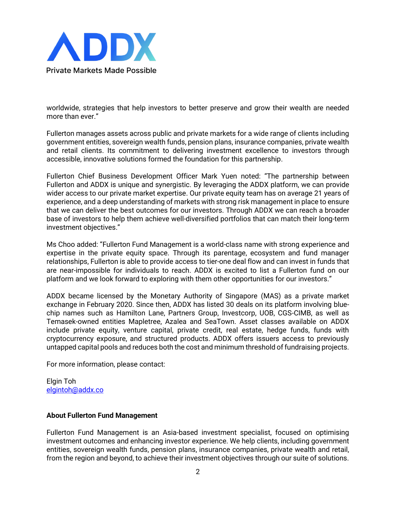

worldwide, strategies that help investors to better preserve and grow their wealth are needed more than ever."

Fullerton manages assets across public and private markets for a wide range of clients including government entities, sovereign wealth funds, pension plans, insurance companies, private wealth and retail clients. Its commitment to delivering investment excellence to investors through accessible, innovative solutions formed the foundation for this partnership.

Fullerton Chief Business Development Officer Mark Yuen noted: "The partnership between Fullerton and ADDX is unique and synergistic. By leveraging the ADDX platform, we can provide wider access to our private market expertise. Our private equity team has on average 21 years of experience, and a deep understanding of markets with strong risk management in place to ensure that we can deliver the best outcomes for our investors. Through ADDX we can reach a broader base of investors to help them achieve well-diversified portfolios that can match their long-term investment objectives."

Ms Choo added: "Fullerton Fund Management is a world-class name with strong experience and expertise in the private equity space. Through its parentage, ecosystem and fund manager relationships, Fullerton is able to provide access to tier-one deal flow and can invest in funds that are near-impossible for individuals to reach. ADDX is excited to list a Fullerton fund on our platform and we look forward to exploring with them other opportunities for our investors."

ADDX became licensed by the Monetary Authority of Singapore (MAS) as a private market exchange in February 2020. Since then, ADDX has listed 30 deals on its platform involving bluechip names such as Hamilton Lane, Partners Group, Investcorp, UOB, CGS-CIMB, as well as Temasek-owned entities Mapletree, Azalea and SeaTown. Asset classes available on ADDX include private equity, venture capital, private credit, real estate, hedge funds, funds with cryptocurrency exposure, and structured products. ADDX offers issuers access to previously untapped capital pools and reduces both the cost and minimum threshold of fundraising projects.

For more information, please contact:

Elgin Toh [elgintoh@addx.co](mailto:elgintoh@addx.co)

## **About Fullerton Fund Management**

Fullerton Fund Management is an Asia-based investment specialist, focused on optimising investment outcomes and enhancing investor experience. We help clients, including government entities, sovereign wealth funds, pension plans, insurance companies, private wealth and retail, from the region and beyond, to achieve their investment objectives through our suite of solutions.